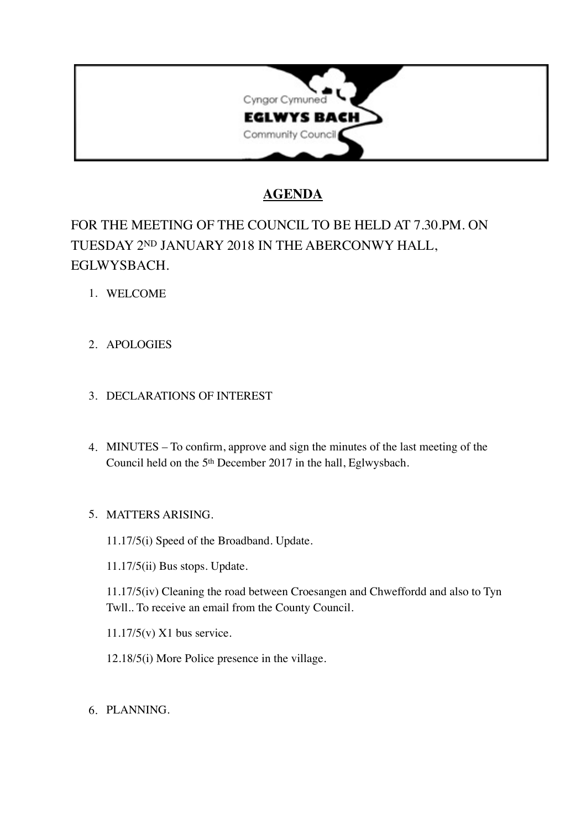

## **AGENDA**

# FOR THE MEETING OF THE COUNCIL TO BE HELD AT 7.30.PM. ON TUESDAY 2ND JANUARY 2018 IN THE ABERCONWY HALL, EGLWYSBACH.

- 1. WELCOME
- 2. APOLOGIES

## 3. DECLARATIONS OF INTEREST

4. MINUTES – To confirm, approve and sign the minutes of the last meeting of the Council held on the 5th December 2017 in the hall, Eglwysbach.

### 5. MATTERS ARISING.

11.17/5(i) Speed of the Broadband. Update.

11.17/5(ii) Bus stops. Update.

11.17/5(iv) Cleaning the road between Croesangen and Chweffordd and also to Tyn Twll.. To receive an email from the County Council.

11.17/5(v) X1 bus service.

12.18/5(i) More Police presence in the village.

6. PLANNING.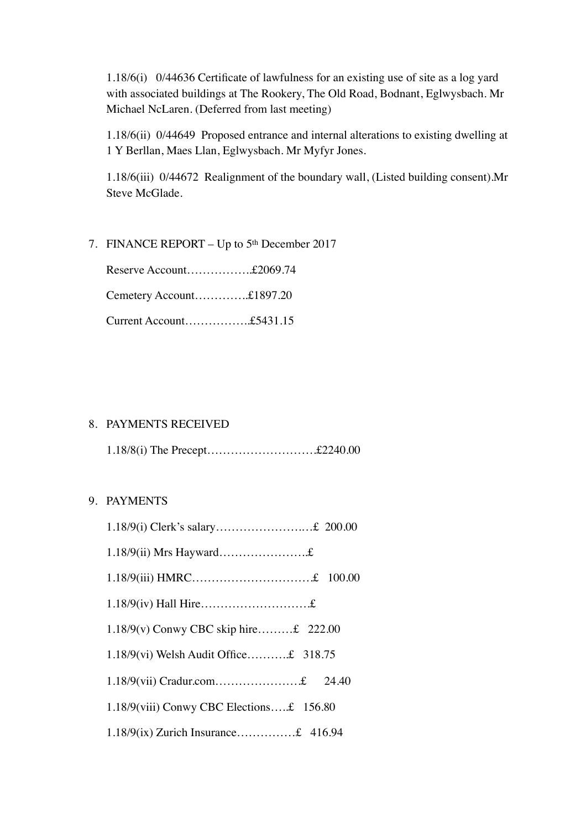1.18/6(i) 0/44636 Certificate of lawfulness for an existing use of site as a log yard with associated buildings at The Rookery, The Old Road, Bodnant, Eglwysbach. Mr Michael NcLaren. (Deferred from last meeting)

1.18/6(ii) 0/44649 Proposed entrance and internal alterations to existing dwelling at 1 Y Berllan, Maes Llan, Eglwysbach. Mr Myfyr Jones.

1.18/6(iii) 0/44672 Realignment of the boundary wall, (Listed building consent).Mr Steve McGlade.

7. FINANCE REPORT – Up to 5th December 2017

Reserve Account……………..£2069.74

Cemetery Account…………..£1897.20

Current Account……………..£5431.15

#### 8. PAYMENTS RECEIVED

1.18/8(i) The Precept……………………….£2240.00

#### 9. PAYMENTS

| 1.18/9(vi) Welsh Audit Office£ 318.75    |
|------------------------------------------|
|                                          |
| 1.18/9(viii) Conwy CBC Elections£ 156.80 |
| 1.18/9(ix) Zurich Insurance£ 416.94      |